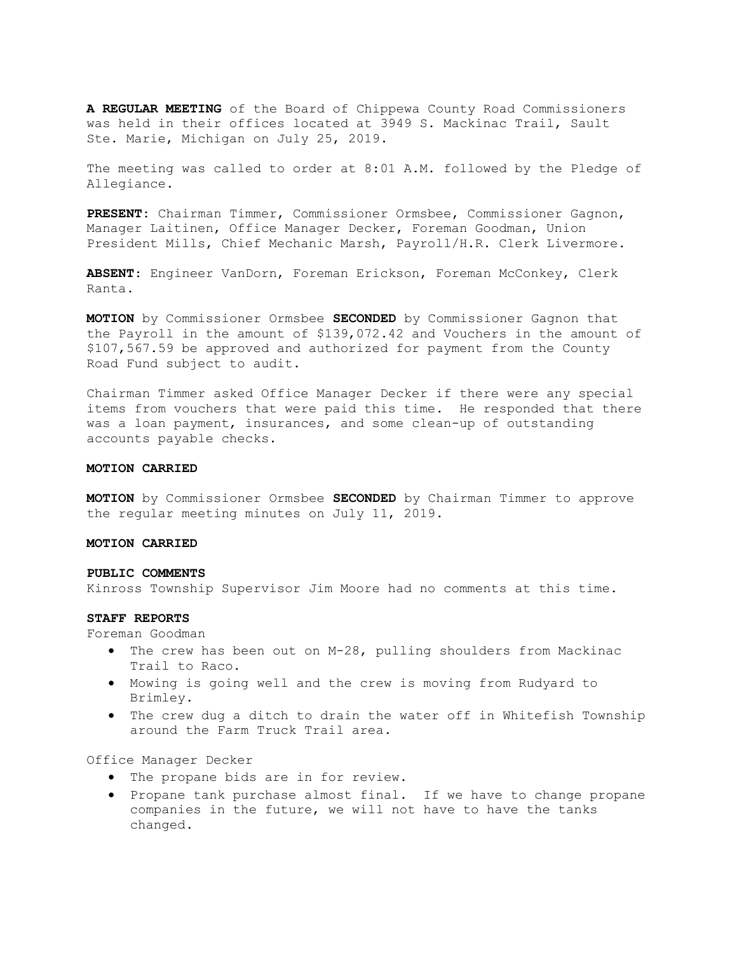A REGULAR MEETING of the Board of Chippewa County Road Commissioners was held in their offices located at 3949 S. Mackinac Trail, Sault Ste. Marie, Michigan on July 25, 2019.

The meeting was called to order at 8:01 A.M. followed by the Pledge of Allegiance.

PRESENT: Chairman Timmer, Commissioner Ormsbee, Commissioner Gagnon, Manager Laitinen, Office Manager Decker, Foreman Goodman, Union President Mills, Chief Mechanic Marsh, Payroll/H.R. Clerk Livermore.

ABSENT: Engineer VanDorn, Foreman Erickson, Foreman McConkey, Clerk Ranta.

MOTION by Commissioner Ormsbee SECONDED by Commissioner Gagnon that the Payroll in the amount of \$139,072.42 and Vouchers in the amount of \$107,567.59 be approved and authorized for payment from the County Road Fund subject to audit.

Chairman Timmer asked Office Manager Decker if there were any special items from vouchers that were paid this time. He responded that there was a loan payment, insurances, and some clean-up of outstanding accounts payable checks.

## MOTION CARRIED

**MOTION** by Commissioner Ormsbee SECONDED by Chairman Timmer to approve the regular meeting minutes on July 11, 2019.

# MOTION CARRIED

### PUBLIC COMMENTS

Kinross Township Supervisor Jim Moore had no comments at this time.

## STAFF REPORTS

Foreman Goodman

- The crew has been out on M-28, pulling shoulders from Mackinac Trail to Raco.
- Mowing is going well and the crew is moving from Rudyard to Brimley.
- The crew dug a ditch to drain the water off in Whitefish Township around the Farm Truck Trail area.

# Office Manager Decker

- The propane bids are in for review.
- Propane tank purchase almost final. If we have to change propane companies in the future, we will not have to have the tanks changed.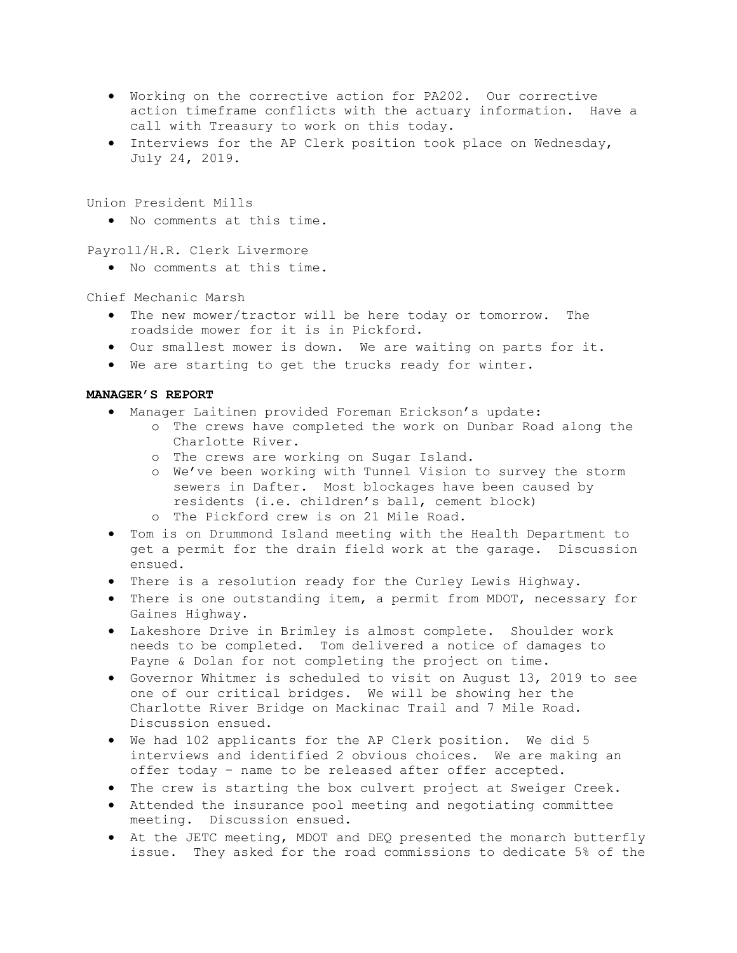- Working on the corrective action for PA202. Our corrective action timeframe conflicts with the actuary information. Have a call with Treasury to work on this today.
- Interviews for the AP Clerk position took place on Wednesday, July 24, 2019.

Union President Mills

No comments at this time.

Payroll/H.R. Clerk Livermore

No comments at this time.

Chief Mechanic Marsh

- The new mower/tractor will be here today or tomorrow. The roadside mower for it is in Pickford.
- Our smallest mower is down. We are waiting on parts for it.
- We are starting to get the trucks ready for winter.

# MANAGER'S REPORT

- Manager Laitinen provided Foreman Erickson's update:
	- o The crews have completed the work on Dunbar Road along the Charlotte River.
		- o The crews are working on Sugar Island.
		- o We've been working with Tunnel Vision to survey the storm sewers in Dafter. Most blockages have been caused by residents (i.e. children's ball, cement block)
		- o The Pickford crew is on 21 Mile Road.
- Tom is on Drummond Island meeting with the Health Department to get a permit for the drain field work at the garage. Discussion ensued.
- There is a resolution ready for the Curley Lewis Highway.
- There is one outstanding item, a permit from MDOT, necessary for Gaines Highway.
- Lakeshore Drive in Brimley is almost complete. Shoulder work needs to be completed. Tom delivered a notice of damages to Payne & Dolan for not completing the project on time.
- Governor Whitmer is scheduled to visit on August 13, 2019 to see one of our critical bridges. We will be showing her the Charlotte River Bridge on Mackinac Trail and 7 Mile Road. Discussion ensued.
- We had 102 applicants for the AP Clerk position. We did 5 interviews and identified 2 obvious choices. We are making an offer today – name to be released after offer accepted.
- The crew is starting the box culvert project at Sweiger Creek.
- Attended the insurance pool meeting and negotiating committee meeting. Discussion ensued.
- At the JETC meeting, MDOT and DEQ presented the monarch butterfly issue. They asked for the road commissions to dedicate 5% of the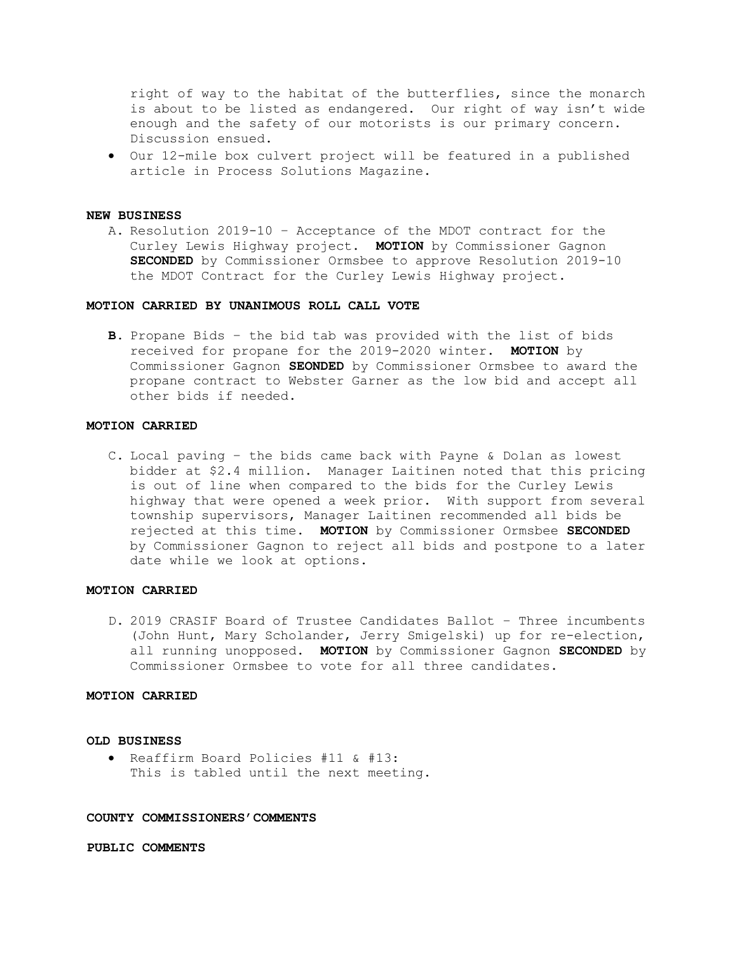right of way to the habitat of the butterflies, since the monarch is about to be listed as endangered. Our right of way isn't wide enough and the safety of our motorists is our primary concern. Discussion ensued.

 Our 12-mile box culvert project will be featured in a published article in Process Solutions Magazine.

#### NEW BUSINESS

A. Resolution 2019-10 – Acceptance of the MDOT contract for the Curley Lewis Highway project. MOTION by Commissioner Gagnon SECONDED by Commissioner Ormsbee to approve Resolution 2019-10 the MDOT Contract for the Curley Lewis Highway project.

## MOTION CARRIED BY UNANIMOUS ROLL CALL VOTE

B. Propane Bids – the bid tab was provided with the list of bids received for propane for the 2019-2020 winter. MOTION by Commissioner Gagnon SEONDED by Commissioner Ormsbee to award the propane contract to Webster Garner as the low bid and accept all other bids if needed.

# MOTION CARRIED

C. Local paving – the bids came back with Payne & Dolan as lowest bidder at \$2.4 million. Manager Laitinen noted that this pricing is out of line when compared to the bids for the Curley Lewis highway that were opened a week prior. With support from several township supervisors, Manager Laitinen recommended all bids be rejected at this time. MOTION by Commissioner Ormsbee SECONDED by Commissioner Gagnon to reject all bids and postpone to a later date while we look at options.

# MOTION CARRIED

D. 2019 CRASIF Board of Trustee Candidates Ballot – Three incumbents (John Hunt, Mary Scholander, Jerry Smigelski) up for re-election, all running unopposed. MOTION by Commissioner Gagnon SECONDED by Commissioner Ormsbee to vote for all three candidates.

#### MOTION CARRIED

### OLD BUSINESS

 Reaffirm Board Policies #11 & #13: This is tabled until the next meeting.

#### COUNTY COMMISSIONERS'COMMENTS

PUBLIC COMMENTS